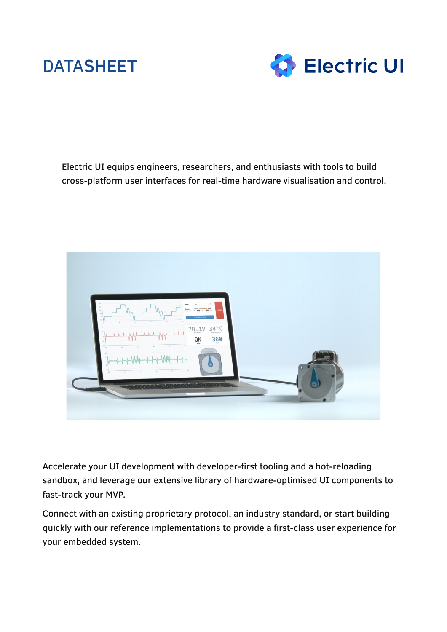# DATASHEET



Electric UI equips engineers, researchers, and enthusiasts with tools to build cross-platform user interfaces for real-time hardware visualisation and control.



Accelerate your UI development with developer-first tooling and a hot-reloading sandbox, and leverage our extensive library of hardware-optimised UI components to fast-track your MVP.

Connect with an existing proprietary protocol, an industry standard, or start building quickly with our reference implementations to provide a first-class user experience for your embedded system.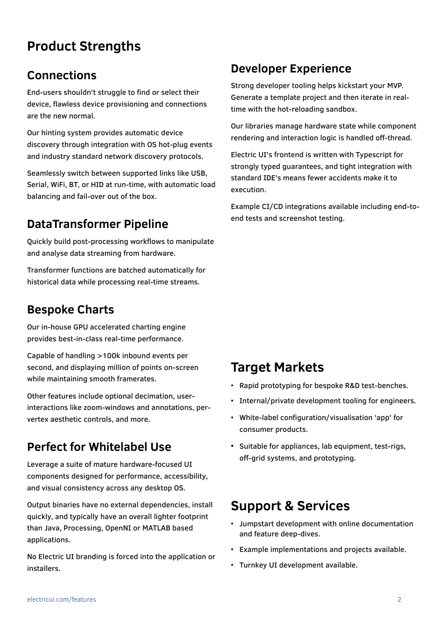# **Product Strengths**

#### **Connections**

End-users shouldn't struggle to find or select their device, flawless device provisioning and connections are the new normal.

Our hinting system provides automatic device discovery through integration with OS hot-plug events and industry standard network discovery protocols.

Seamlessly switch between supported links like USB, Serial, WiFi, BT, or HID at run-time, with automatic load balancing and fail-over out of the box.

## **DataTransformer Pipeline**

Quickly build post-processing workflows to manipulate and analyse data streaming from hardware.

Transformer functions are batched automatically for historical data while processing real-time streams.

#### **Bespoke Charts**

Our in-house GPU accelerated charting engine provides best-in-class real-time performance.

Capable of handling >100k inbound events per second, and displaying million of points on-screen while maintaining smooth framerates.

Other features include optional decimation, userinteractions like zoom-windows and annotations, pervertex aesthetic controls, and more.

## **Perfect for Whitelabel Use**

Leverage a suite of mature hardware-focused UI components designed for performance, accessibility, and visual consistency across any desktop OS.

Output binaries have no external dependencies, install quickly, and typically have an overall lighter footprint than Java, Processing, OpenNI or MATLAB based applications.

No Electric UI branding is forced into the application or installers.

## **Developer Experience**

Strong developer tooling helps kickstart your MVP. Generate a template project and then iterate in realtime with the hot-reloading sandbox.

Our libraries manage hardware state while component rendering and interaction logic is handled off-thread.

Electric UI's frontend is written with Typescript for strongly typed guarantees, and tight integration with standard IDE's means fewer accidents make it to execution.

Example CI/CD integrations available including end-toend tests and screenshot testing.

## **Target Markets**

- Rapid prototyping for bespoke R&D test-benches.
- Internal/private development tooling for engineers.
- White-label configuration/visualisation 'app' for consumer products.
- Suitable for appliances, lab equipment, test-rigs, off-grid systems, and prototyping.

### **Support & Services**

- Jumpstart development with online documentation and feature deep-dives.
- Example implementations and projects available.
- Turnkey UI development available.